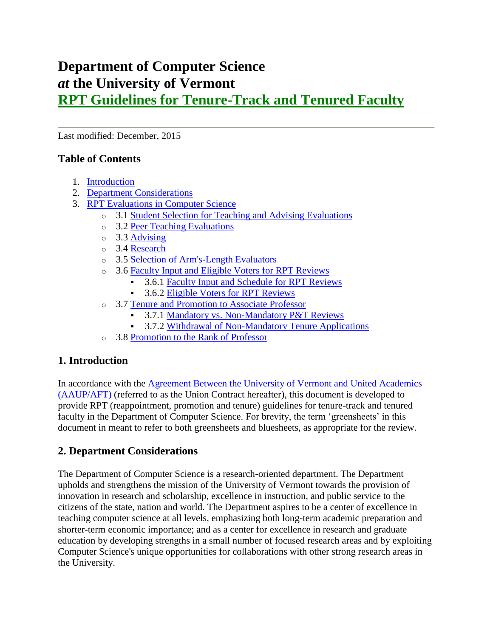# **Department of Computer Science** *at* **the University of Vermont RPT Guidelines for Tenure-Track and Tenured Faculty**

Last modified: December, 2015

# **Table of Contents**

- 1. [Introduction](http://www.uvm.edu/~cems/cs/RPT/RPT-TTT.shtml#Introduction)
- 2. [Department Considerations](http://www.uvm.edu/~cems/cs/RPT/RPT-TTT.shtml#Department%20Considerations)
- 3. [RPT Evaluations in Computer Science](http://www.uvm.edu/~cems/cs/RPT/RPT-TTT.shtml#RPT%20Evaluations)
	- o 3.1 [Student Selection for Teaching and Advising Evaluations](http://www.uvm.edu/~cems/cs/RPT/RPT-TTT.shtml#Student%20Selection)
	- o 3.2 [Peer Teaching Evaluations](http://www.uvm.edu/~cems/cs/RPT/RPT-TTT.shtml#Peer%20Teaching%20Evaluations)
	- o 3.3 [Advising](http://www.uvm.edu/~cems/cs/RPT/RPT-TTT.shtml#Advising)
	- o 3.4 [Research](http://www.uvm.edu/~cems/cs/RPT/RPT-TTT.shtml#Research)
	- o 3.5 [Selection of Arm's-Length Evaluators](http://www.uvm.edu/~cems/cs/RPT/RPT-TTT.shtml#Arm%27s-Length%20Evaluators)
	- o 3.6 [Faculty Input and Eligible Voters for RPT](http://www.uvm.edu/~cems/cs/RPT/RPT-TTT.shtml#Faculty%20Input%20and%20Eligible%20Voters) Reviews
		- 3.6.1 [Faculty Input and Schedule for RPT Reviews](http://www.uvm.edu/~cems/cs/RPT/RPT-TTT.shtml#Faculty%20Input)
		- 3.6.2 [Eligible Voters for RPT Reviews](http://www.uvm.edu/~cems/cs/RPT/RPT-TTT.shtml#Eligible%20Voters)
	- o 3.7 [Tenure and Promotion to Associate Professor](http://www.uvm.edu/~cems/cs/RPT/RPT-TTT.shtml#Associate%20Professor)
		- 3.7.1 [Mandatory vs. Non-Mandatory P&T Reviews](http://www.uvm.edu/~cems/cs/RPT/RPT-TTT.shtml#P&T%20Reviews)
		- 3.7.2 [Withdrawal of Non-Mandatory Tenure Applications](http://www.uvm.edu/~cems/cs/RPT/RPT-TTT.shtml#Withdrawal)
	- o 3.8 Promotion [to the Rank of Professor](http://www.uvm.edu/~cems/cs/RPT/RPT-TTT.shtml#Professor)

# **1. Introduction**

In accordance with the [Agreement Between the University of Vermont and United Academics](https://www.uvm.edu/~facrsrcs/FT%20Agreement_Master.pdf)  [\(AAUP/AFT\)](https://www.uvm.edu/~facrsrcs/FT%20Agreement_Master.pdf) (referred to as the Union Contract hereafter), this document is developed to provide RPT (reappointment, promotion and tenure) guidelines for tenure-track and tenured faculty in the Department of Computer Science. For brevity, the term 'greensheets' in this document in meant to refer to both greensheets and bluesheets, as appropriate for the review.

# **2. Department Considerations**

The Department of Computer Science is a research-oriented department. The Department upholds and strengthens the mission of the University of Vermont towards the provision of innovation in research and scholarship, excellence in instruction, and public service to the citizens of the state, nation and world. The Department aspires to be a center of excellence in teaching computer science at all levels, emphasizing both long-term academic preparation and shorter-term economic importance; and as a center for excellence in research and graduate education by developing strengths in a small number of focused research areas and by exploiting Computer Science's unique opportunities for collaborations with other strong research areas in the University.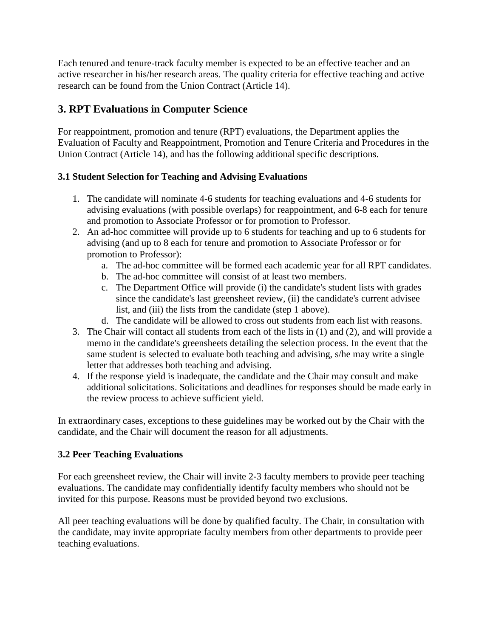Each tenured and tenure-track faculty member is expected to be an effective teacher and an active researcher in his/her research areas. The quality criteria for effective teaching and active research can be found from the Union Contract (Article 14).

# **3. RPT Evaluations in Computer Science**

For reappointment, promotion and tenure (RPT) evaluations, the Department applies the Evaluation of Faculty and Reappointment, Promotion and Tenure Criteria and Procedures in the Union Contract (Article 14), and has the following additional specific descriptions.

# **3.1 Student Selection for Teaching and Advising Evaluations**

- 1. The candidate will nominate 4-6 students for teaching evaluations and 4-6 students for advising evaluations (with possible overlaps) for reappointment, and 6-8 each for tenure and promotion to Associate Professor or for promotion to Professor.
- 2. An ad-hoc committee will provide up to 6 students for teaching and up to 6 students for advising (and up to 8 each for tenure and promotion to Associate Professor or for promotion to Professor):
	- a. The ad-hoc committee will be formed each academic year for all RPT candidates.
	- b. The ad-hoc committee will consist of at least two members.
	- c. The Department Office will provide (i) the candidate's student lists with grades since the candidate's last greensheet review, (ii) the candidate's current advisee list, and (iii) the lists from the candidate (step 1 above).
	- d. The candidate will be allowed to cross out students from each list with reasons.
- 3. The Chair will contact all students from each of the lists in (1) and (2), and will provide a memo in the candidate's greensheets detailing the selection process. In the event that the same student is selected to evaluate both teaching and advising, s/he may write a single letter that addresses both teaching and advising.
- 4. If the response yield is inadequate, the candidate and the Chair may consult and make additional solicitations. Solicitations and deadlines for responses should be made early in the review process to achieve sufficient yield.

In extraordinary cases, exceptions to these guidelines may be worked out by the Chair with the candidate, and the Chair will document the reason for all adjustments.

## **3.2 Peer Teaching Evaluations**

For each greensheet review, the Chair will invite 2-3 faculty members to provide peer teaching evaluations. The candidate may confidentially identify faculty members who should not be invited for this purpose. Reasons must be provided beyond two exclusions.

All peer teaching evaluations will be done by qualified faculty. The Chair, in consultation with the candidate, may invite appropriate faculty members from other departments to provide peer teaching evaluations.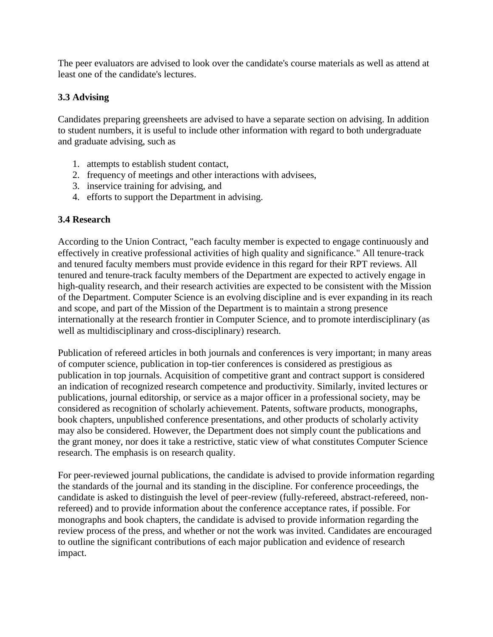The peer evaluators are advised to look over the candidate's course materials as well as attend at least one of the candidate's lectures.

# **3.3 Advising**

Candidates preparing greensheets are advised to have a separate section on advising. In addition to student numbers, it is useful to include other information with regard to both undergraduate and graduate advising, such as

- 1. attempts to establish student contact,
- 2. frequency of meetings and other interactions with advisees,
- 3. inservice training for advising, and
- 4. efforts to support the Department in advising.

## **3.4 Research**

According to the Union Contract, "each faculty member is expected to engage continuously and effectively in creative professional activities of high quality and significance." All tenure-track and tenured faculty members must provide evidence in this regard for their RPT reviews. All tenured and tenure-track faculty members of the Department are expected to actively engage in high-quality research, and their research activities are expected to be consistent with the Mission of the Department. Computer Science is an evolving discipline and is ever expanding in its reach and scope, and part of the Mission of the Department is to maintain a strong presence internationally at the research frontier in Computer Science, and to promote interdisciplinary (as well as multidisciplinary and cross-disciplinary) research.

Publication of refereed articles in both journals and conferences is very important; in many areas of computer science, publication in top-tier conferences is considered as prestigious as publication in top journals. Acquisition of competitive grant and contract support is considered an indication of recognized research competence and productivity. Similarly, invited lectures or publications, journal editorship, or service as a major officer in a professional society, may be considered as recognition of scholarly achievement. Patents, software products, monographs, book chapters, unpublished conference presentations, and other products of scholarly activity may also be considered. However, the Department does not simply count the publications and the grant money, nor does it take a restrictive, static view of what constitutes Computer Science research. The emphasis is on research quality.

For peer-reviewed journal publications, the candidate is advised to provide information regarding the standards of the journal and its standing in the discipline. For conference proceedings, the candidate is asked to distinguish the level of peer-review (fully-refereed, abstract-refereed, nonrefereed) and to provide information about the conference acceptance rates, if possible. For monographs and book chapters, the candidate is advised to provide information regarding the review process of the press, and whether or not the work was invited. Candidates are encouraged to outline the significant contributions of each major publication and evidence of research impact.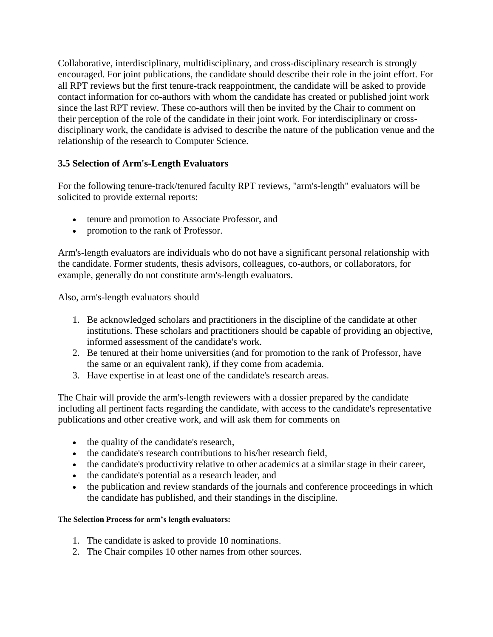Collaborative, interdisciplinary, multidisciplinary, and cross-disciplinary research is strongly encouraged. For joint publications, the candidate should describe their role in the joint effort. For all RPT reviews but the first tenure-track reappointment, the candidate will be asked to provide contact information for co-authors with whom the candidate has created or published joint work since the last RPT review. These co-authors will then be invited by the Chair to comment on their perception of the role of the candidate in their joint work. For interdisciplinary or crossdisciplinary work, the candidate is advised to describe the nature of the publication venue and the relationship of the research to Computer Science.

# **3.5 Selection of Arm's-Length Evaluators**

For the following tenure-track/tenured faculty RPT reviews, "arm's-length" evaluators will be solicited to provide external reports:

- tenure and promotion to Associate Professor, and
- promotion to the rank of Professor.

Arm's-length evaluators are individuals who do not have a significant personal relationship with the candidate. Former students, thesis advisors, colleagues, co-authors, or collaborators, for example, generally do not constitute arm's-length evaluators.

Also, arm's-length evaluators should

- 1. Be acknowledged scholars and practitioners in the discipline of the candidate at other institutions. These scholars and practitioners should be capable of providing an objective, informed assessment of the candidate's work.
- 2. Be tenured at their home universities (and for promotion to the rank of Professor, have the same or an equivalent rank), if they come from academia.
- 3. Have expertise in at least one of the candidate's research areas.

The Chair will provide the arm's-length reviewers with a dossier prepared by the candidate including all pertinent facts regarding the candidate, with access to the candidate's representative publications and other creative work, and will ask them for comments on

- the quality of the candidate's research,
- the candidate's research contributions to his/her research field,
- the candidate's productivity relative to other academics at a similar stage in their career,
- the candidate's potential as a research leader, and
- the publication and review standards of the journals and conference proceedings in which the candidate has published, and their standings in the discipline.

#### **The Selection Process for arm's length evaluators:**

- 1. The candidate is asked to provide 10 nominations.
- 2. The Chair compiles 10 other names from other sources.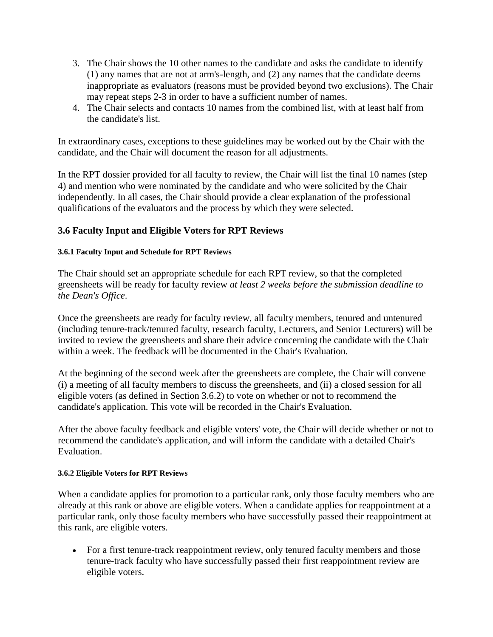- 3. The Chair shows the 10 other names to the candidate and asks the candidate to identify (1) any names that are not at arm's-length, and (2) any names that the candidate deems inappropriate as evaluators (reasons must be provided beyond two exclusions). The Chair may repeat steps 2-3 in order to have a sufficient number of names.
- 4. The Chair selects and contacts 10 names from the combined list, with at least half from the candidate's list.

In extraordinary cases, exceptions to these guidelines may be worked out by the Chair with the candidate, and the Chair will document the reason for all adjustments.

In the RPT dossier provided for all faculty to review, the Chair will list the final 10 names (step 4) and mention who were nominated by the candidate and who were solicited by the Chair independently. In all cases, the Chair should provide a clear explanation of the professional qualifications of the evaluators and the process by which they were selected.

# **3.6 Faculty Input and Eligible Voters for RPT Reviews**

#### **3.6.1 Faculty Input and Schedule for RPT Reviews**

The Chair should set an appropriate schedule for each RPT review, so that the completed greensheets will be ready for faculty review *at least 2 weeks before the submission deadline to the Dean's Office*.

Once the greensheets are ready for faculty review, all faculty members, tenured and untenured (including tenure-track/tenured faculty, research faculty, Lecturers, and Senior Lecturers) will be invited to review the greensheets and share their advice concerning the candidate with the Chair within a week. The feedback will be documented in the Chair's Evaluation.

At the beginning of the second week after the greensheets are complete, the Chair will convene (i) a meeting of all faculty members to discuss the greensheets, and (ii) a closed session for all eligible voters (as defined in Section 3.6.2) to vote on whether or not to recommend the candidate's application. This vote will be recorded in the Chair's Evaluation.

After the above faculty feedback and eligible voters' vote, the Chair will decide whether or not to recommend the candidate's application, and will inform the candidate with a detailed Chair's Evaluation.

#### **3.6.2 Eligible Voters for RPT Reviews**

When a candidate applies for promotion to a particular rank, only those faculty members who are already at this rank or above are eligible voters. When a candidate applies for reappointment at a particular rank, only those faculty members who have successfully passed their reappointment at this rank, are eligible voters.

• For a first tenure-track reappointment review, only tenured faculty members and those tenure-track faculty who have successfully passed their first reappointment review are eligible voters.